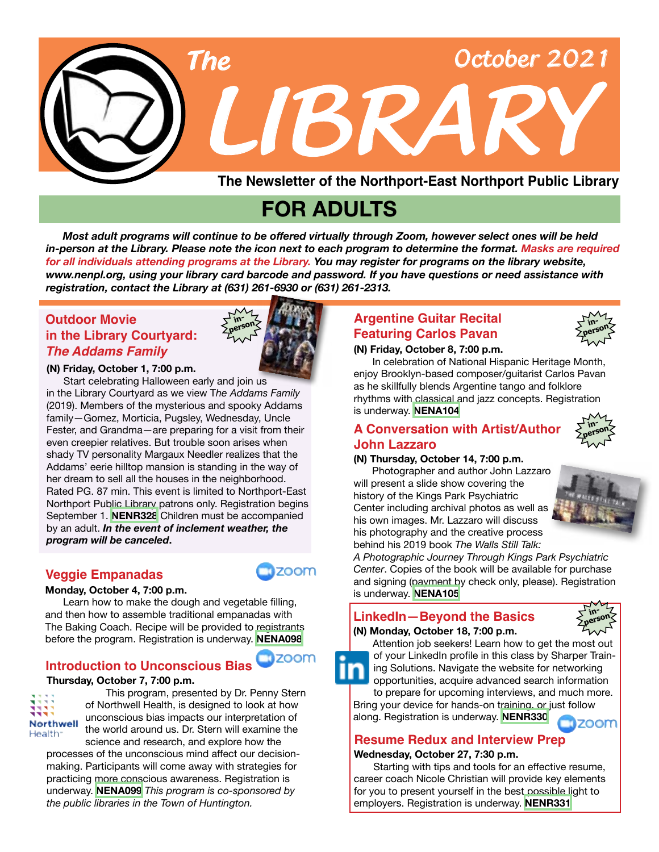

# **FOR ADULTS**

 *Most adult programs will continue to be offered virtually through Zoom, however select ones will be held in-person at the Library. Please note the icon next to each program to determine the format. Masks are required for all individuals attending programs at the Library. You may register for programs on the library website, www.nenpl.org, using your library card barcode and password. If you have questions or need assistance with registration, contact the Library at (631) 261-6930 or (631) 261-2313.*

# **in the Library Courtyard:** *The Addams Family* **Outdoor Movie**



#### **(N) Friday, October 1, 7:00 p.m.**

 Start celebrating Halloween early and join us in the Library Courtyard as we view T*he Addams Family* (2019). Members of the mysterious and spooky Addams family—Gomez, Morticia, Pugsley, Wednesday, Uncle Fester, and Grandma—are preparing for a visit from their even creepier relatives. But trouble soon arises when shady TV personality Margaux Needler realizes that the Addams' eerie hilltop mansion is standing in the way of her dream to sell all the houses in the neighborhood. Rated PG. 87 min. This event is limited to Northport-East Northport Public Library patrons only. Registration begins September 1. **[NENR328](https://search.livebrary.com/record=g1093381~S43)** Children must be accompanied by an adult. *In the event of inclement weather, the program will be canceled***.**

### **Veggie Empanadas**

#### **Monday, October 4, 7:00 p.m.**

Learn how to make the dough and vegetable filling, and then how to assemble traditional empanadas with The Baking Coach. Recipe will be provided to registrants before the program. Registration is underway. **[NENA098](https://search.livebrary.com/record=g1106610~S43)**

# **Introduction to Unconscious Bias**

#### **Thursday, October 7, 7:00 p.m.**



This program, presented by Dr. Penny Stern of Northwell Health, is designed to look at how unconscious bias impacts our interpretation of the world around us. Dr. Stern will examine the science and research, and explore how the

processes of the unconscious mind affect our decisionmaking. Participants will come away with strategies for practicing more conscious awareness. Registration is underway. **[NENA099](https://search.livebrary.com/record=g1106614~S43)** *This program is co-sponsored by the public libraries in the Town of Huntington.*

# **Argentine Guitar Recital Featuring Carlos Pavan**



#### **(N) Friday, October 8, 7:00 p.m.**

In celebration of National Hispanic Heritage Month, enjoy Brooklyn-based composer/guitarist Carlos Pavan as he skillfully blends Argentine tango and folklore rhythms with classical and jazz concepts. Registration is underway. **[NENA104](https://search.livebrary.com/record=g1107096~S43)**

#### **A Conversation with Artist/Author John Lazzaro**

#### **(N) Thursday, October 14, 7:00 p.m.**

Photographer and author John Lazzaro will present a slide show covering the history of the Kings Park Psychiatric Center including archival photos as well as his own images. Mr. Lazzaro will discuss his photography and the creative process behind his 2019 book *The Walls Still Talk:*



**inperson**

*A Photographic Journey Through Kings Park Psychiatric Center*. Copies of the book will be available for purchase and signing (payment by check only, please). Registration is underway. **[NENA105](https://search.livebrary.com/record=g1107103~S43)**

#### **(N) Monday, October 18, 7:00 p.m. LinkedIn—Beyond the Basics in-**

# **person**



of your LinkedIn profile in this class by Sharper Training Solutions. Navigate the website for networking opportunities, acquire advanced search information

to prepare for upcoming interviews, and much more. Bring your device for hands-on training, or just follow along. Registration is underway. **[NENR330](https://search.livebrary.com/record=g1106870~S43)** zoom

# **Resume Redux and Interview Prep**

#### **Wednesday, October 27, 7:30 p.m.**

Starting with tips and tools for an effective resume, career coach Nicole Christian will provide key elements for you to present yourself in the best possible light to employers. Registration is underway. **[NENR331](https://search.livebrary.com/record=g1107376~S43)**



**ZOOM**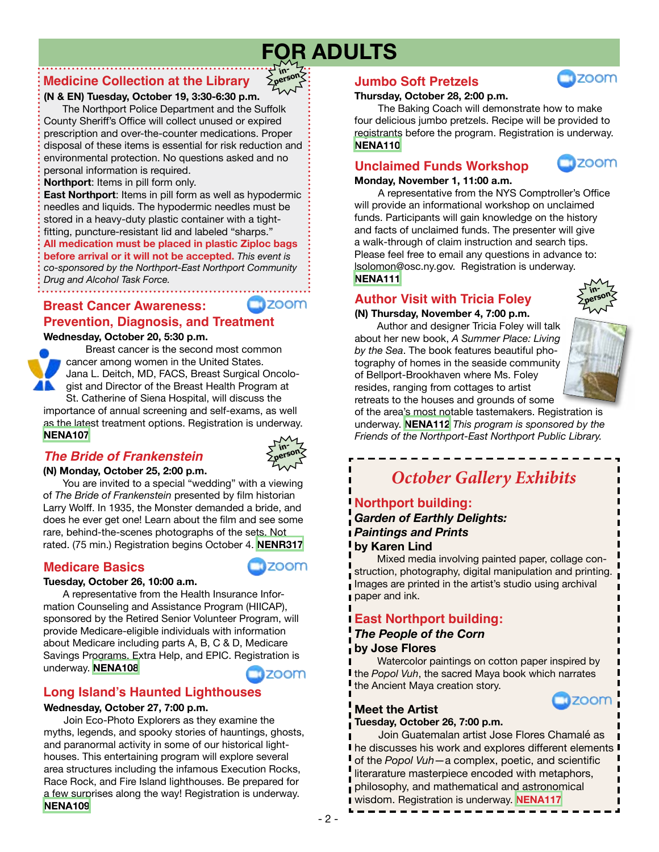# **FOR ADULTS**

**inperson**

# **Medicine Collection at the Library**

### **(N & EN) Tuesday, October 19, 3:30-6:30 p.m.**

 The Northport Police Department and the Suffolk County Sheriff's Office will collect unused or expired prescription and over-the-counter medications. Proper disposal of these items is essential for risk reduction and environmental protection. No questions asked and no personal information is required.

**Northport**: Items in pill form only.

**East Northport**: Items in pill form as well as hypodermic needles and liquids. The hypodermic needles must be stored in a heavy-duty plastic container with a tightfitting, puncture-resistant lid and labeled "sharps."

**All medication must be placed in plastic Ziploc bags before arrival or it will not be accepted.** *This event is co-sponsored by the Northport-East Northport Community Drug and Alcohol Task Force.*

**Breast Cancer Awareness:**

#### **Wednesday, October 20, 5:30 p.m. Prevention, Diagnosis, and Treatment**



Breast cancer is the second most common cancer among women in the United States. Jana L. Deitch, MD, FACS, Breast Surgical Oncologist and Director of the Breast Health Program at St. Catherine of Siena Hospital, will discuss the

importance of annual screening and self-exams, as well as the latest treatment options. Registration is underway. **[NENA107](https://search.livebrary.com/record=g1107108~S43)**

# *The Bride of Frankenstein*



zoom

zoom

#### **(N) Monday, October 25, 2:00 p.m.**

You are invited to a special "wedding" with a viewing of *The Bride of Frankenstein* presented by film historian Larry Wolff. In 1935, the Monster demanded a bride, and does he ever get one! Learn about the film and see some rare, behind-the-scenes photographs of the sets. Not rated. (75 min.) Registration begins October 4. **[NENR317](https://search.livebrary.com/record=g1107398~S43)**

# **Medicare Basics**

### **Tuesday, October 26, 10:00 a.m.**

A representative from the Health Insurance Information Counseling and Assistance Program (HIICAP), sponsored by the Retired Senior Volunteer Program, will provide Medicare-eligible individuals with information about Medicare including parts A, B, C & D, Medicare Savings Programs, Extra Help, and EPIC. Registration is underway. **[NENA108](https://search.livebrary.com/record=g1107109~S43) ED** ZOOM

# **Long Island's Haunted Lighthouses**

#### **Wednesday, October 27, 7:00 p.m.**

Join Eco-Photo Explorers as they examine the myths, legends, and spooky stories of hauntings, ghosts, and paranormal activity in some of our historical lighthouses. This entertaining program will explore several area structures including the infamous Execution Rocks, Race Rock, and Fire Island lighthouses. Be prepared for a few surprises along the way! Registration is underway. **[NENA109](https://search.livebrary.com/record=g1107110~S43)**

# **Jumbo Soft Pretzels**

#### **Thursday, October 28, 2:00 p.m.**

The Baking Coach will demonstrate how to make four delicious jumbo pretzels. Recipe will be provided to registrants before the program. Registration is underway. **[NENA110](https://search.livebrary.com/record=g1107111~S43)**

# **Unclaimed Funds Workshop**



**Izoom** 

#### **Monday, November 1, 11:00 a.m.**

A representative from the NYS Comptroller's Office will provide an informational workshop on unclaimed funds. Participants will gain knowledge on the history and facts of unclaimed funds. The presenter will give a walk-through of claim instruction and search tips. Please feel free to email any questions in advance to: lsolomon@osc.ny.gov. Registration is underway. **[NENA111](https://search.livebrary.com/record=g1107112~S43)**

# **Author Visit with Tricia Foley**

#### **(N) Thursday, November 4, 7:00 p.m.**

Author and designer Tricia Foley will talk about her new book, *A Summer Place: Living by the Sea*. The book features beautiful photography of homes in the seaside community of Bellport-Brookhaven where Ms. Foley resides, ranging from cottages to artist retreats to the houses and grounds of some



**inperson**

of the area's most notable tastemakers. Registration is underway. **[NENA112](https://search.livebrary.com/record=g1107113~S43)** *This program is sponsored by the Friends of the Northport-East Northport Public Library.*

# *October Gallery Exhibits*

# **Northport building:**

*Garden of Earthly Delights: Paintings and Prints* **by Karen Lind**

 Mixed media involving painted paper, collage construction, photography, digital manipulation and printing. Images are printed in the artist's studio using archival paper and ink.

# **East Northport building:**

#### *The People of the Corn* **by Jose Flores**

 Watercolor paintings on cotton paper inspired by **I** the *Popol Vuh*, the sacred Maya book which narrates the Ancient Maya creation story.



### **Meet the Artist**

**Tuesday, October 26, 7:00 p.m.**

 Join Guatemalan artist Jose Flores Chamalé as I he discusses his work and explores different elements I of the *Popol Vuh*—a complex, poetic, and scientific literarature masterpiece encoded with metaphors, philosophy, and mathematical and astronomical wisdom. Registration is underway. **[NENA117](https://search.livebrary.com/record=g1107410~S43)**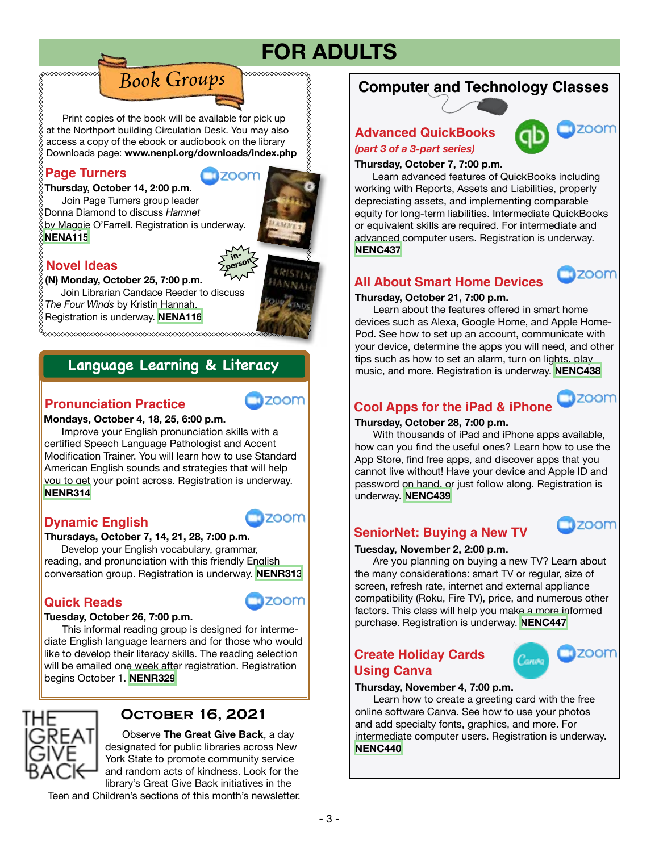# **FOR ADULTS**

,,,,,,,,,,,,,,,,,,,,,,,

 Print copies of the book will be available for pick up at the Northport building Circulation Desk. You may also access a copy of the ebook or audiobook on the library Downloads page: **www.nenpl.org/downloads/index.php**

*Book Groups*

# **Page Turners**

∞∞∞∞∞∞∞∞

**TIZOOM** 

**in-**

**Thursday, October 14, 2:00 p.m.** Join Page Turners group leader Donna Diamond to discuss *Hamnet*  by Maggie O'Farrell. Registration is underway. **[NENA115](https://search.livebrary.com/record=g1107114~S43)**



zoom

# **Novel Ideas**

**(N) Monday, October 25, 7:00 p.m.**

 Join Librarian Candace Reeder to discuss *The Four Winds* by Kristin Hannah. Registration is underway. **[NENA116](https://search.livebrary.com/record=g1107115~S43)**

# Language Learning & Literacy

# **Pronunciation Practice**

#### **Mondays, October 4, 18, 25, 6:00 p.m.**

Improve your English pronunciation skills with a certified Speech Language Pathologist and Accent Modification Trainer. You will learn how to use Standard American English sounds and strategies that will help you to get your point across. Registration is underway. **[NENR314](https://search.livebrary.com/record=g1101911~S43)**

# **Dynamic English**

**Thursdays, October 7, 14, 21, 28, 7:00 p.m.**

 Develop your English vocabulary, grammar, reading, and pronunciation with this friendly English conversation group. Registration is underway. **[NENR313](https://search.livebrary.com/record=g1099946~S43)**

# **Quick Reads**



**Tizoom** 

#### **Tuesday, October 26, 7:00 p.m.**

 This informal reading group is designed for intermediate English language learners and for those who would like to develop their literacy skills. The reading selection will be emailed one week after registration. Registration begins October 1. **[NENR329](https://search.livebrary.com/record=g1107399~S43)**



# **October 16, 2021**

Observe **The Great Give Back**, a day designated for public libraries across New York State to promote community service and random acts of kindness. Look for the library's Great Give Back initiatives in the

Teen and Children's sections of this month's newsletter.

# **Computer and Technology Classes**

# **Advanced QuickBooks**



*(part 3 of a 3-part series)*

**Thursday, October 7, 7:00 p.m.**

 Learn advanced features of QuickBooks including working with Reports, Assets and Liabilities, properly depreciating assets, and implementing comparable equity for long-term liabilities. Intermediate QuickBooks or equivalent skills are required. For intermediate and advanced computer users. Registration is underway. **[NENC437](https://search.livebrary.com/record=g1093205~S43)**

# **All About Smart Home Devices**



**Tizoom** 

#### **Thursday, October 21, 7:00 p.m.**

 Learn about the features offered in smart home devices such as Alexa, Google Home, and Apple Home-Pod. See how to set up an account, communicate with your device, determine the apps you will need, and other tips such as how to set an alarm, turn on lights, play music, and more. Registration is underway. **NENC438** 

# **Cool Apps for the iPad & iPhone**

**Thursday, October 28, 7:00 p.m.** 

With thousands of iPad and iPhone apps available. how can you find the useful ones? Learn how to use the App Store, find free apps, and discover apps that you cannot live without! Have your device and Apple ID and password on hand, or just follow along. Registration is underway. **[NENC439](https://search.livebrary.com/record=g1102258~S43)**

# **SeniorNet: Buying a New TV**



#### **Tuesday, November 2, 2:00 p.m.**

 Are you planning on buying a new TV? Learn about the many considerations: smart TV or regular, size of screen, refresh rate, internet and external appliance compatibility (Roku, Fire TV), price, and numerous other factors. This class will help you make a more informed purchase. Registration is underway. **[NENC447](https://search.livebrary.com/record=g1106218~S43)**

### **Create Holiday Cards Using Canva**



#### **Thursday, November 4, 7:00 p.m.**

 Learn how to create a greeting card with the free online software Canva. See how to use your photos and add specialty fonts, graphics, and more. For intermediate computer users. Registration is underway. **[NENC440](https://search.livebrary.com/record=g1106218~S43)**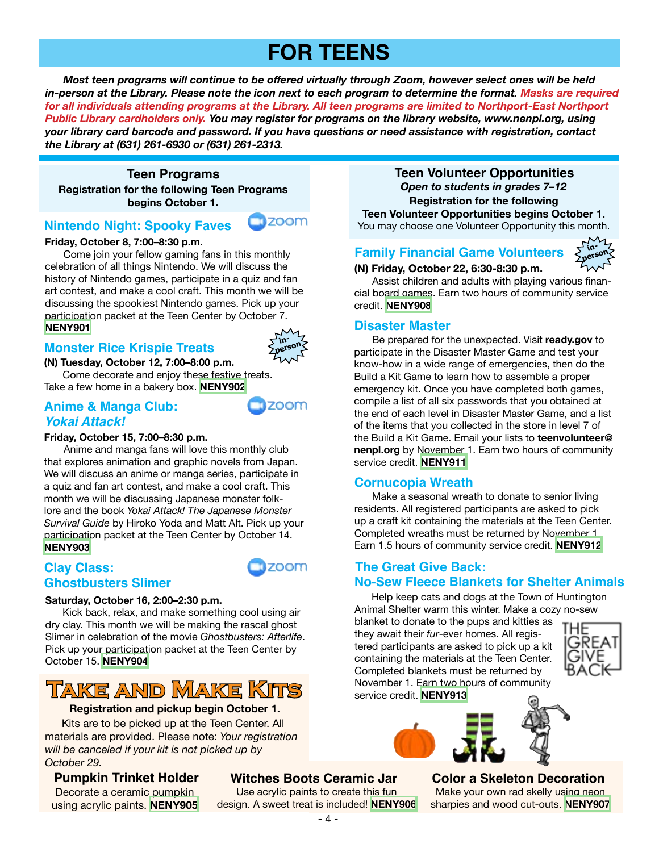# **FOR TEENS**

 *Most teen programs will continue to be offered virtually through Zoom, however select ones will be held in-person at the Library. Please note the icon next to each program to determine the format. Masks are required*  for all individuals attending programs at the Library. All teen programs are limited to Northport-East Northport *Public Library cardholders only. You may register for programs on the library website, www.nenpl.org, using your library card barcode and password. If you have questions or need assistance with registration, contact the Library at (631) 261-6930 or (631) 261-2313.*

#### **Teen Programs**

**Registration for the following Teen Programs begins October 1.**

### **Nintendo Night: Spooky Faves**

#### **Friday, October 8, 7:00–8:30 p.m.**

 Come join your fellow gaming fans in this monthly celebration of all things Nintendo. We will discuss the history of Nintendo games, participate in a quiz and fan art contest, and make a cool craft. This month we will be discussing the spookiest Nintendo games. Pick up your participation packet at the Teen Center by October 7. **[NENY901](https://search.livebrary.com/record=g1107372~S43)**

#### **Monster Rice Krispie Treats**



**ZOOM** 

zoom

**Tizoom** 

**(N) Tuesday, October 12, 7:00–8:00 p.m.** 

 Come decorate and enjoy these festive treats. Take a few home in a bakery box. **[NENY902](https://search.livebrary.com/record=g1107373~S43)**

#### **Anime & Manga Club:** *Yokai Attack!*

#### **Friday, October 15, 7:00–8:30 p.m.**

 Anime and manga fans will love this monthly club that explores animation and graphic novels from Japan. We will discuss an anime or manga series, participate in a quiz and fan art contest, and make a cool craft. This month we will be discussing Japanese monster folklore and the book *Yokai Attack! The Japanese Monster Survival Guide* by Hiroko Yoda and Matt Alt. Pick up your participation packet at the Teen Center by October 14. **[NENY903](https://search.livebrary.com/record=g1107374~S43)**

#### **Clay Class: Ghostbusters Slimer**



Kick back, relax, and make something cool using air dry clay. This month we will be making the rascal ghost Slimer in celebration of the movie *Ghostbusters: Afterlife*. Pick up your participation packet at the Teen Center by October 15. **[NENY904](https://search.livebrary.com/record=g1107375~S43)**

# **Take and Make Kits**

#### **Registration and pickup begin October 1.**

 Kits are to be picked up at the Teen Center. All materials are provided. Please note: *Your registration will be canceled if your kit is not picked up by October 29.*

Decorate a ceramic pumpkin using acrylic paints. **[NENY905](https://search.livebrary.com/record=g1107379~S43)**

### **Pumpkin Trinket Holder Witches Boots Ceramic Jar**

Use acrylic paints to create this fun design. A sweet treat is included! **[NENY906](https://search.livebrary.com/record=g1107381~S43)**

**Teen Volunteer Opportunities Registration for the following Teen Volunteer Opportunities begins October 1.** You may choose one Volunteer Opportunity this month. *Open to students in grades 7–12*

# **Family Financial Game Volunteers**



**(N) Friday, October 22, 6:30-8:30 p.m.**

 Assist children and adults with playing various financial board games. Earn two hours of community service credit. **[NENY908](https://search.livebrary.com/record=g1107377~S43)**

#### **Disaster Master**

 Be prepared for the unexpected. Visit **ready.gov** to participate in the Disaster Master Game and test your know-how in a wide range of emergencies, then do the Build a Kit Game to learn how to assemble a proper emergency kit. Once you have completed both games, compile a list of all six passwords that you obtained at the end of each level in Disaster Master Game, and a list of the items that you collected in the store in level 7 of the Build a Kit Game. Email your lists to **teenvolunteer@ nenpl.org** by November 1. Earn two hours of community service credit. **[NENY911](https://search.livebrary.com/record=g1107402~S43)**

### **Cornucopia Wreath**

 Make a seasonal wreath to donate to senior living residents. All registered participants are asked to pick up a craft kit containing the materials at the Teen Center. Completed wreaths must be returned by November 1. Earn 1.5 hours of community service credit. **[NENY912](https://search.livebrary.com/record=g1107403~S43)**

#### **The Great Give Back: No-Sew Fleece Blankets for Shelter Animals**

Help keep cats and dogs at the Town of Huntington Animal Shelter warm this winter. Make a cozy no-sew

blanket to donate to the pups and kitties as they await their *fur*-ever homes. All registered participants are asked to pick up a kit containing the materials at the Teen Center. Completed blankets must be returned by November 1. Earn two hours of community service credit. **[NENY913](https://search.livebrary.com/record=g1107404~S43)**





# **Color a Skeleton Decoration**

Make your own rad skelly using neon sharpies and wood cut-outs. **[NENY907](https://search.livebrary.com/record=g1107382~S43)**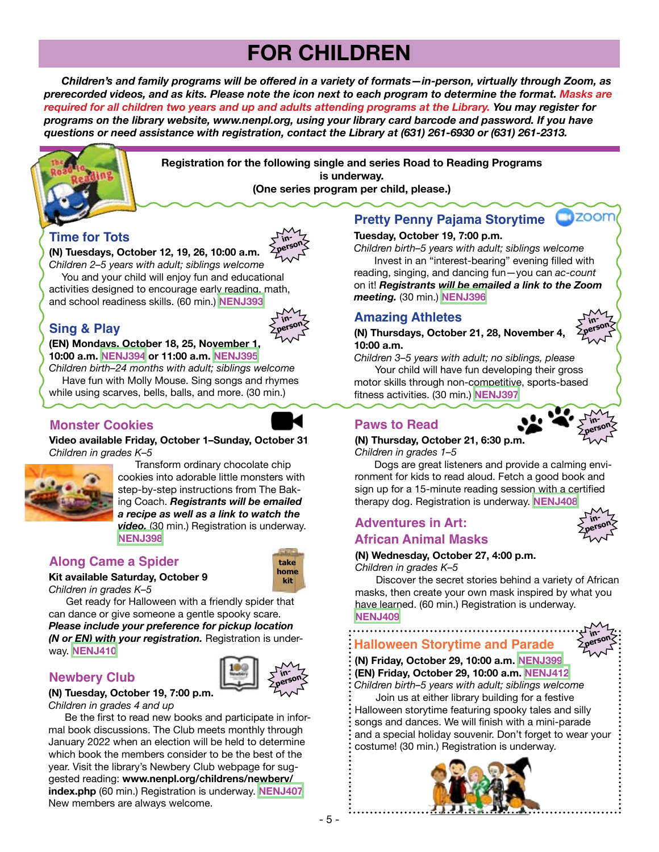# **FOR CHILDREN**

 *Children's and family programs will be offered in a variety of formats—in-person, virtually through Zoom, as prerecorded videos, and as kits. Please note the icon next to each program to determine the format. Masks are required for all children two years and up and adults attending programs at the Library. You may register for programs on the library website, www.nenpl.org, using your library card barcode and password. If you have questions or need assistance with registration, contact the Library at (631) 261-6930 or (631) 261-2313.*



**Registration for the following single and series Road to Reading Programs is underway. (One series program per child, please.)**

# **Time for Tots**



**(N) Tuesdays, October 12, 19, 26, 10:00 a.m.**

*Children 2–5 years with adult; siblings welcome* You and your child will enjoy fun and educational activities designed to encourage early reading, math, and school readiness skills. (60 min.) **[NENJ393](https://search.livebrary.com/record=g1106096~S43)**

# **Sing & Play**



#### **(EN) Mondays, October 18, 25, November 1, 10:00 a.m. [NENJ394](https://search.livebrary.com/record=g1106198~S43) or 11:00 a.m. [NENJ395](https://search.livebrary.com/record=g1106199~S43)**

*Children birth–24 months with adult; siblings welcome* Have fun with Molly Mouse. Sing songs and rhymes while using scarves, bells, balls, and more. (30 min.)

### **Monster Cookies**





 Transform ordinary chocolate chip cookies into adorable little monsters with step-by-step instructions from The Baking Coach. *Registrants will be emailed a recipe as well as a link to watch the video.* (30 min.) Registration is underway. **[NENJ398](https://search.livebrary.com/record=g1105650~S43)**

# **Along Came a Spider take**



**Kit available Saturday, October 9** *Children in grades K–5*

 Get ready for Halloween with a friendly spider that can dance or give someone a gentle spooky scare. *Please include your preference for pickup location (N or EN) with your registration.* Registration is underway. **[NENJ410](https://search.livebrary.com/record=g1106371~S43)**

### **Newbery Club in-**



#### **(N) Tuesday, October 19, 7:00 p.m.**  *Children in grades 4 and up*

 Be the first to read new books and participate in informal book discussions. The Club meets monthly through January 2022 when an election will be held to determine which book the members consider to be the best of the year. Visit the library's Newbery Club webpage for suggested reading: **www.nenpl.org/childrens/newbery/ index.php** (60 min.) Registration is underway. **[NENJ407](https://search.livebrary.com/record=g1106354~S43)**  New members are always welcome.

# **Pretty Penny Pajama Storytime**

#### **Tuesday, October 19, 7:00 p.m.**

*Children birth–5 years with adult; siblings welcome* Invest in an "interest-bearing" evening filled with reading, singing, and dancing fun—you can *ac-count*

on it! *Registrants will be emailed a link to the Zoom meeting.* (30 min.) **[NENJ396](https://search.livebrary.com/record=g1106661~S43)**

#### **Amazing Athletes**

**(N) Thursdays, October 21, 28, November 4, 10:00 a.m.**

*Children 3–5 years with adult; no siblings, please* Your child will have fun developing their gross motor skills through non-competitive, sports-based fitness activities. (30 min.) **[NENJ397](https://search.livebrary.com/record=g1106252~S43)**

# **Paws to Read**



**inperson**

 $\square$  200 $\neg$ 

**(N) Thursday, October 21, 6:30 p.m.** *Children in grades 1–5*

 Dogs are great listeners and provide a calming environment for kids to read aloud. Fetch a good book and sign up for a 15-minute reading session with a certified therapy dog. Registration is underway. **[NENJ408](https://search.livebrary.com/record=g1106344~S43)**

# **African Animal Masks**

#### **(N) Wednesday, October 27, 4:00 p.m.**

*Children in grades K–5*

 Discover the secret stories behind a variety of African masks, then create your own mask inspired by what you have learned. (60 min.) Registration is underway. **[NENJ409](https://search.livebrary.com/record=g1106718~S43)**

**Halloween Storytime and Parade**



**inperson**

**(N) Friday, October 29, 10:00 a.m. [NENJ399](file:https://search.livebrary.com/record%3Dg1106720~S43) (EN) Friday, October 29, 10:00 a.m. [NENJ412](file:https://search.livebrary.com/record%3Dg1107311~S43)**  *Children birth–5 years with adult; siblings welcome* 

Join us at either library building for a festive Halloween storytime featuring spooky tales and silly songs and dances. We will finish with a mini-parade and a special holiday souvenir. Don't forget to wear your costume! (30 min.) Registration is underway.





# **Adventures in Art:**

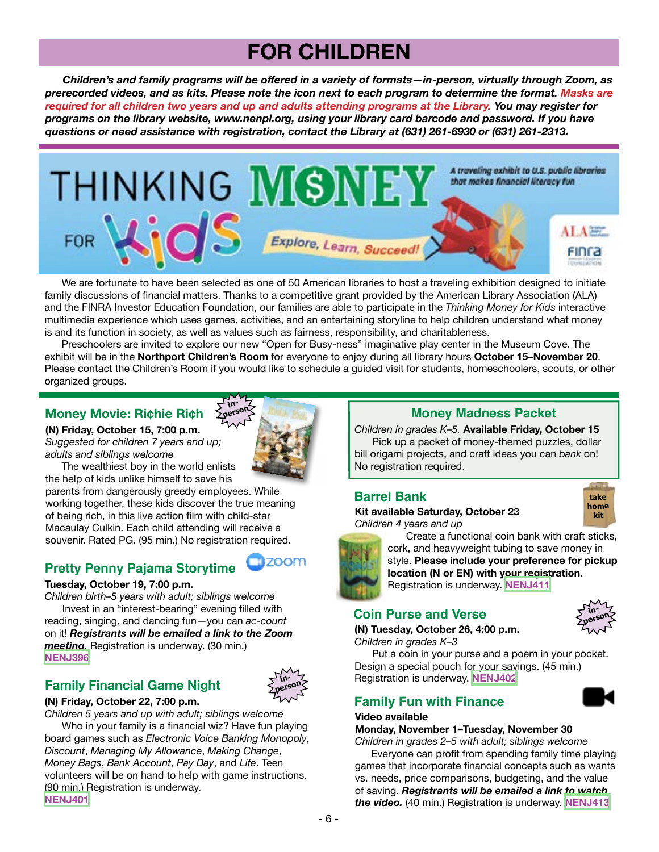# **FOR CHILDREN**

 *Children's and family programs will be offered in a variety of formats—in-person, virtually through Zoom, as prerecorded videos, and as kits. Please note the icon next to each program to determine the format. Masks are required for all children two years and up and adults attending programs at the Library. You may register for programs on the library website, www.nenpl.org, using your library card barcode and password. If you have questions or need assistance with registration, contact the Library at (631) 261-6930 or (631) 261-2313.*



 We are fortunate to have been selected as one of 50 American libraries to host a traveling exhibition designed to initiate family discussions of financial matters. Thanks to a competitive grant provided by the American Library Association (ALA) and the FINRA Investor Education Foundation, our families are able to participate in the *Thinking Money for Kids* interactive multimedia experience which uses games, activities, and an entertaining storyline to help children understand what money is and its function in society, as well as values such as fairness, responsibility, and charitableness.

 Preschoolers are invited to explore our new "Open for Busy-ness" imaginative play center in the Museum Cove. The exhibit will be in the **Northport Children's Room** for everyone to enjoy during all library hours **October 15–November 20**. Please contact the Children's Room if you would like to schedule a guided visit for students, homeschoolers, scouts, or other organized groups.

### **Money Movie: Ri¢hie Ri¢h**  $\leq$  **Money Madness Packet**

**(N) Friday, October 15, 7:00 p.m.** *Suggested for children 7 years and up; adults and siblings welcome*



**nzoom** 

**in-**

 The wealthiest boy in the world enlists the help of kids unlike himself to save his

parents from dangerously greedy employees. While working together, these kids discover the true meaning of being rich, in this live action film with child-star Macaulay Culkin. Each child attending will receive a souvenir. Rated PG. (95 min.) No registration required.

# **Pretty Penny Pajama Storytime**

#### **Tuesday, October 19, 7:00 p.m.**

*Children birth–5 years with adult; siblings welcome* Invest in an "interest-bearing" evening filled with reading, singing, and dancing fun—you can *ac-count* on it! *Registrants will be emailed a link to the Zoom meeting.* Registration is underway. (30 min.) **[NENJ396](https://search.livebrary.com/record=g1106661~S43)**

# **Family Financial Game Night**



#### **(N) Friday, October 22, 7:00 p.m.**

*Children 5 years and up with adult; siblings welcome*

 Who in your family is a financial wiz? Have fun playing board games such as *Electronic Voice Banking Monopoly*, *Discount*, *Managing My Allowance*, *Making Change*, *Money Bags*, *Bank Account*, *Pay Day*, and *Life*. Teen volunteers will be on hand to help with game instructions. (90 min.) Registration is underway. **[NENJ401](https://search.livebrary.com/record=g1106442~S43)**

*Children in grades K–5.* **Available Friday, October 15** Pick up a packet of money-themed puzzles, dollar bill origami projects, and craft ideas you can *bank* on! No registration required.

# **Barrel Bank take**

**Kit available Saturday, October 23** *Children 4 years and up*



Create a functional coin bank with craft sticks,

cork, and heavyweight tubing to save money in style. **Please include your preference for pickup location (N or EN) with your registration.** Registration is underway. **[NENJ411](https://search.livebrary.com/record=g1106374~S43)**

### **Coin Purse and Verse**

**(N) Tuesday, October 26, 4:00 p.m.** *Children in grades K–3*

Registration is underway. **[NENJ402](https://search.livebrary.com/record=g1106440~S43)**



 Put a coin in your purse and a poem in your pocket. Design a special pouch for your savings. (45 min.)

# **Family Fun with Finance**

#### **Video available**

**Monday, November 1–Tuesday, November 30**

*Children in grades 2–5 with adult; siblings welcome* Everyone can profit from spending family time playing games that incorporate financial concepts such as wants vs. needs, price comparisons, budgeting, and the value of saving. *Registrants will be emailed a link to watch the video.* (40 min.) Registration is underway. **[NENJ413](https://search.livebrary.com/record=g1107176~S43)**



- 6 -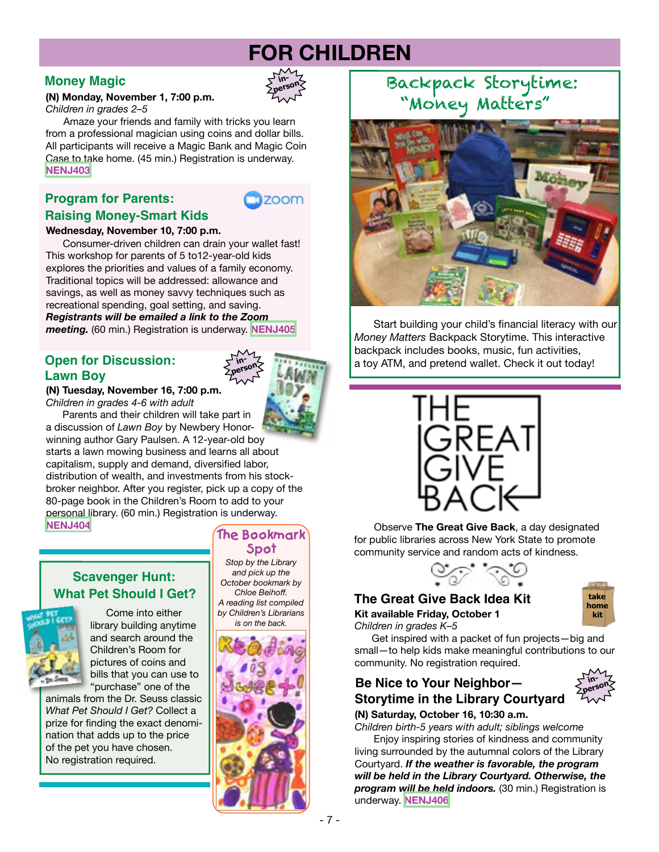# **FOR CHILDREN**

#### **Money Magic**

#### **(N) Monday, November 1, 7:00 p.m.** *Children in grades 2–5*

 Amaze your friends and family with tricks you learn from a professional magician using coins and dollar bills. All participants will receive a Magic Bank and Magic Coin Case to take home. (45 min.) Registration is underway. **[NENJ403](https://search.livebrary.com/record=g1106444~S43)**

# **Program for Parents: Raising Money-Smart Kids**



**inperson**

#### **Wednesday, November 10, 7:00 p.m.**

Consumer-driven children can drain your wallet fast! This workshop for parents of 5 to12-year-old kids explores the priorities and values of a family economy. Traditional topics will be addressed: allowance and savings, as well as money savvy techniques such as recreational spending, goal setting, and saving. *Registrants will be emailed a link to the Zoom*

*meeting.* (60 min.) Registration is underway. **[NENJ405](https://search.livebrary.com/record=g1107415~S43)**

# **Open for Discussion: Lawn Boy**

**(N) Tuesday, November 16, 7:00 p.m.** *Children in grades 4-6 with adult*

Parents and their children will take part in

a discussion of *Lawn Boy* by Newbery Honorwinning author Gary Paulsen. A 12-year-old boy starts a lawn mowing business and learns all about capitalism, supply and demand, diversified labor, distribution of wealth, and investments from his stockbroker neighbor. After you register, pick up a copy of the 80-page book in the Children's Room to add to your personal library. (60 min.) Registration is underway. **[NENJ404](https://search.livebrary.com/record=g1107378~S43)**

**Scavenger Hunt: What Pet Should I Get?**



 Come into either library building anytime and search around the Children's Room for pictures of coins and bills that you can use to "purchase" one of the

animals from the Dr. Seuss classic *What Pet Should I Get?* Collect a prize for finding the exact denomination that adds up to the price of the pet you have chosen. No registration required.

#### **The Bookmark Spot**

**inperson**

*Stop by the Library and pick up the October bookmark by Chloe Beihoff. A reading list compiled by Children's Librarians*



# Backpack Storytime: "Money Matters"



Start building your child's financial literacy with our *Money Matters* Backpack Storytime. This interactive backpack includes books, music, fun activities, a toy ATM, and pretend wallet. Check it out today!



 Observe **The Great Give Back**, a day designated for public libraries across New York State to promote community service and random acts of kindness.



# **The Great Give Back Idea Kit take**

**Kit available Friday, October 1** *Children in grades K–5*



 Get inspired with a packet of fun projects—big and small—to help kids make meaningful contributions to our community. No registration required.

# **Be Nice to Your Neighbor— in-Storytime in the Library Courtyard**



**(N) Saturday, October 16, 10:30 a.m.** 

*Children birth-5 years with adult; siblings welcome*

 Enjoy inspiring stories of kindness and community living surrounded by the autumnal colors of the Library Courtyard. *If the weather is favorable, the program will be held in the Library Courtyard. Otherwise, the program will be held indoors.* (30 min.) Registration is underway. **[NENJ406](https://search.livebrary.com/record=g1106719~S43)**